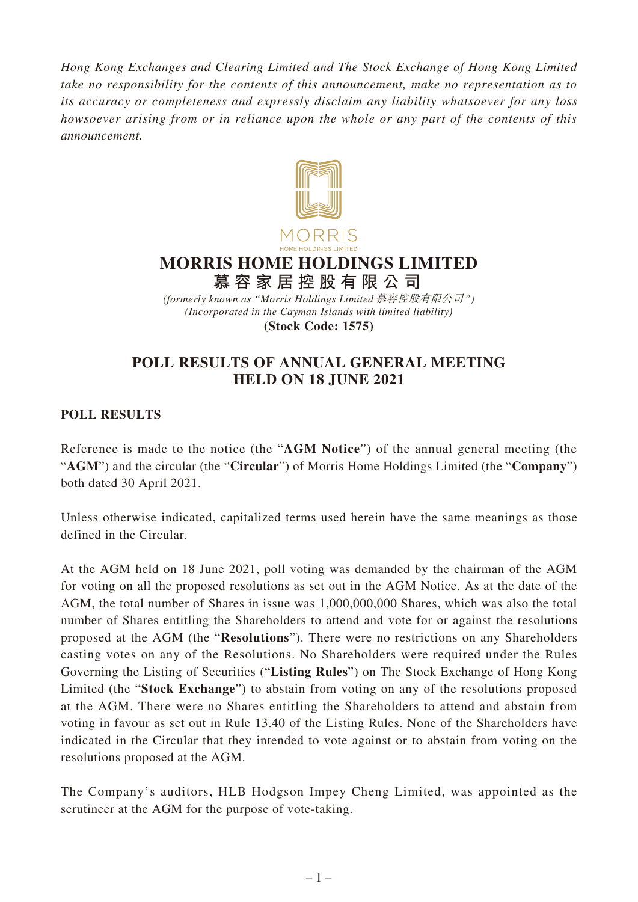*Hong Kong Exchanges and Clearing Limited and The Stock Exchange of Hong Kong Limited take no responsibility for the contents of this announcement, make no representation as to its accuracy or completeness and expressly disclaim any liability whatsoever for any loss howsoever arising from or in reliance upon the whole or any part of the contents of this announcement.*



## **MORRIS HOME HOLDINGS LIMITED 慕容家居控股有限公司**

*(Incorporated in the Cayman Islands with limited liability)* **(Stock Code: 1575)** *(formerly known as "Morris Holdings Limited* 慕容控股有限公司*")*

## **POLL RESULTS OF ANNUAL GENERAL MEETING HELD ON 18 JUNE 2021**

## **POLL RESULTS**

Reference is made to the notice (the "**AGM Notice**") of the annual general meeting (the "**AGM**") and the circular (the "**Circular**") of Morris Home Holdings Limited (the "**Company**") both dated 30 April 2021.

Unless otherwise indicated, capitalized terms used herein have the same meanings as those defined in the Circular.

At the AGM held on 18 June 2021, poll voting was demanded by the chairman of the AGM for voting on all the proposed resolutions as set out in the AGM Notice. As at the date of the AGM, the total number of Shares in issue was 1,000,000,000 Shares, which was also the total number of Shares entitling the Shareholders to attend and vote for or against the resolutions proposed at the AGM (the "**Resolutions**"). There were no restrictions on any Shareholders casting votes on any of the Resolutions. No Shareholders were required under the Rules Governing the Listing of Securities ("**Listing Rules**") on The Stock Exchange of Hong Kong Limited (the "**Stock Exchange**") to abstain from voting on any of the resolutions proposed at the AGM. There were no Shares entitling the Shareholders to attend and abstain from voting in favour as set out in Rule 13.40 of the Listing Rules. None of the Shareholders have indicated in the Circular that they intended to vote against or to abstain from voting on the resolutions proposed at the AGM.

The Company's auditors, HLB Hodgson Impey Cheng Limited, was appointed as the scrutineer at the AGM for the purpose of vote-taking.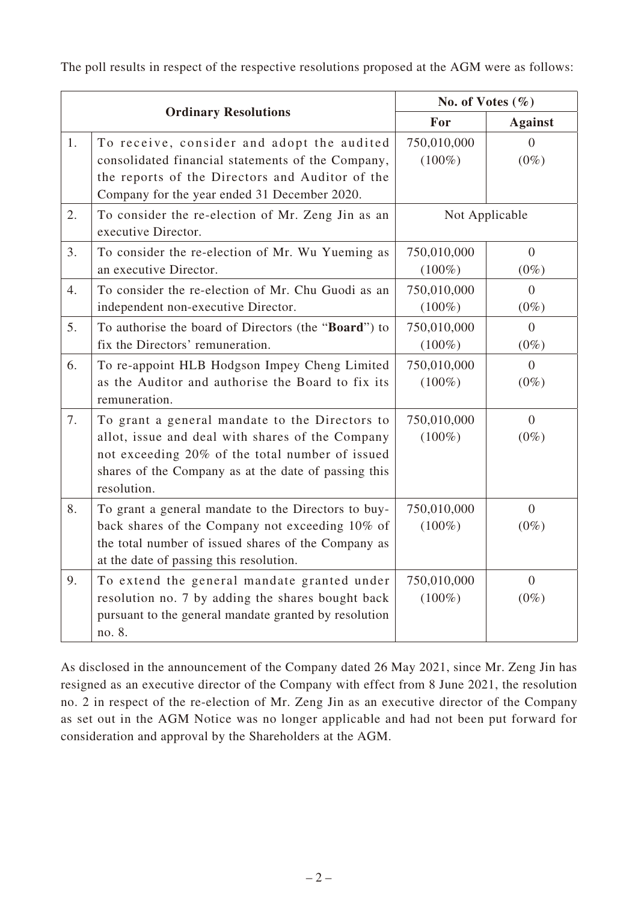The poll results in respect of the respective resolutions proposed at the AGM were as follows:

| <b>Ordinary Resolutions</b> |                                                                                                                                                                                                                              | No. of Votes $(\% )$     |                           |
|-----------------------------|------------------------------------------------------------------------------------------------------------------------------------------------------------------------------------------------------------------------------|--------------------------|---------------------------|
|                             |                                                                                                                                                                                                                              | For                      | <b>Against</b>            |
| 1.                          | To receive, consider and adopt the audited<br>consolidated financial statements of the Company,<br>the reports of the Directors and Auditor of the<br>Company for the year ended 31 December 2020.                           | 750,010,000<br>$(100\%)$ | 0<br>$(0\%)$              |
| 2.                          | To consider the re-election of Mr. Zeng Jin as an<br>executive Director.                                                                                                                                                     | Not Applicable           |                           |
| 3.                          | To consider the re-election of Mr. Wu Yueming as<br>an executive Director.                                                                                                                                                   | 750,010,000<br>$(100\%)$ | $\overline{0}$<br>$(0\%)$ |
| 4.                          | To consider the re-election of Mr. Chu Guodi as an<br>independent non-executive Director.                                                                                                                                    | 750,010,000<br>$(100\%)$ | $\overline{0}$<br>$(0\%)$ |
| 5.                          | To authorise the board of Directors (the "Board") to<br>fix the Directors' remuneration.                                                                                                                                     | 750,010,000<br>$(100\%)$ | $\overline{0}$<br>$(0\%)$ |
| 6.                          | To re-appoint HLB Hodgson Impey Cheng Limited<br>as the Auditor and authorise the Board to fix its<br>remuneration.                                                                                                          | 750,010,000<br>$(100\%)$ | $\Omega$<br>$(0\%)$       |
| 7.                          | To grant a general mandate to the Directors to<br>allot, issue and deal with shares of the Company<br>not exceeding 20% of the total number of issued<br>shares of the Company as at the date of passing this<br>resolution. | 750,010,000<br>$(100\%)$ | $\overline{0}$<br>$(0\%)$ |
| 8.                          | To grant a general mandate to the Directors to buy-<br>back shares of the Company not exceeding 10% of<br>the total number of issued shares of the Company as<br>at the date of passing this resolution.                     | 750,010,000<br>$(100\%)$ | $\overline{0}$<br>$(0\%)$ |
| 9.                          | To extend the general mandate granted under<br>resolution no. 7 by adding the shares bought back<br>pursuant to the general mandate granted by resolution<br>no. 8.                                                          | 750,010,000<br>$(100\%)$ | $\overline{0}$<br>$(0\%)$ |

As disclosed in the announcement of the Company dated 26 May 2021, since Mr. Zeng Jin has resigned as an executive director of the Company with effect from 8 June 2021, the resolution no. 2 in respect of the re-election of Mr. Zeng Jin as an executive director of the Company as set out in the AGM Notice was no longer applicable and had not been put forward for consideration and approval by the Shareholders at the AGM.